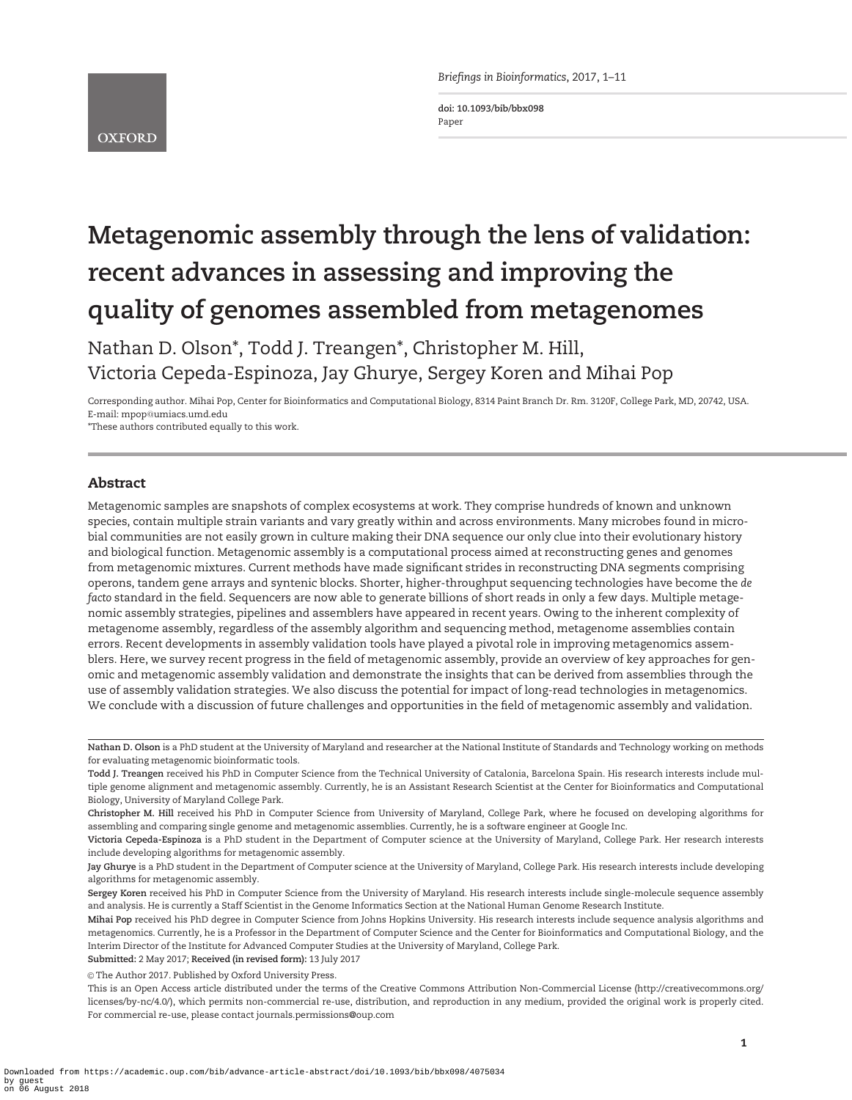**OXFORD** 

Briefings in Bioinformatics, 2017, 1–11

doi: 10.1093/bib/bbx098 Paper

# Metagenomic assembly through the lens of validation: recent advances in assessing and improving the quality of genomes assembled from metagenomes

Nathan D. Olson\*, Todd J. Treangen\*, Christopher M. Hill, Victoria Cepeda-Espinoza, Jay Ghurye, Sergey Koren and Mihai Pop

Corresponding author. Mihai Pop, Center for Bioinformatics and Computational Biology, 8314 Paint Branch Dr. Rm. 3120F, College Park, MD, 20742, USA. E-mail: mpop@umiacs.umd.edu

\*These authors contributed equally to this work.

# Abstract

Metagenomic samples are snapshots of complex ecosystems at work. They comprise hundreds of known and unknown species, contain multiple strain variants and vary greatly within and across environments. Many microbes found in microbial communities are not easily grown in culture making their DNA sequence our only clue into their evolutionary history and biological function. Metagenomic assembly is a computational process aimed at reconstructing genes and genomes from metagenomic mixtures. Current methods have made significant strides in reconstructing DNA segments comprising operons, tandem gene arrays and syntenic blocks. Shorter, higher-throughput sequencing technologies have become the de facto standard in the field. Sequencers are now able to generate billions of short reads in only a few days. Multiple metagenomic assembly strategies, pipelines and assemblers have appeared in recent years. Owing to the inherent complexity of metagenome assembly, regardless of the assembly algorithm and sequencing method, metagenome assemblies contain errors. Recent developments in assembly validation tools have played a pivotal role in improving metagenomics assemblers. Here, we survey recent progress in the field of metagenomic assembly, provide an overview of key approaches for genomic and metagenomic assembly validation and demonstrate the insights that can be derived from assemblies through the use of assembly validation strategies. We also discuss the potential for impact of long-read technologies in metagenomics. We conclude with a discussion of future challenges and opportunities in the field of metagenomic assembly and validation.

Submitted: 2 May 2017; Received (in revised form): 13 July 2017

 $\odot$  The Author 2017. Published by Oxford University Press.

Nathan D. Olson is a PhD student at the University of Maryland and researcher at the National Institute of Standards and Technology working on methods for evaluating metagenomic bioinformatic tools.

Todd J. Treangen received his PhD in Computer Science from the Technical University of Catalonia, Barcelona Spain. His research interests include multiple genome alignment and metagenomic assembly. Currently, he is an Assistant Research Scientist at the Center for Bioinformatics and Computational Biology, University of Maryland College Park.

Christopher M. Hill received his PhD in Computer Science from University of Maryland, College Park, where he focused on developing algorithms for assembling and comparing single genome and metagenomic assemblies. Currently, he is a software engineer at Google Inc.

Victoria Cepeda-Espinoza is a PhD student in the Department of Computer science at the University of Maryland, College Park. Her research interests include developing algorithms for metagenomic assembly.

Jay Ghurye is a PhD student in the Department of Computer science at the University of Maryland, College Park. His research interests include developing algorithms for metagenomic assembly.

Sergey Koren received his PhD in Computer Science from the University of Maryland. His research interests include single-molecule sequence assembly and analysis. He is currently a Staff Scientist in the Genome Informatics Section at the National Human Genome Research Institute.

Mihai Pop received his PhD degree in Computer Science from Johns Hopkins University. His research interests include sequence analysis algorithms and metagenomics. Currently, he is a Professor in the Department of Computer Science and the Center for Bioinformatics and Computational Biology, and the Interim Director of the Institute for Advanced Computer Studies at the University of Maryland, College Park.

This is an Open Access article distributed under the terms of the Creative Commons Attribution Non-Commercial License (http://creativecommons.org/ licenses/by-nc/4.0/), which permits non-commercial re-use, distribution, and reproduction in any medium, provided the original work is properly cited. For commercial re-use, please contact journals.permissions@oup.com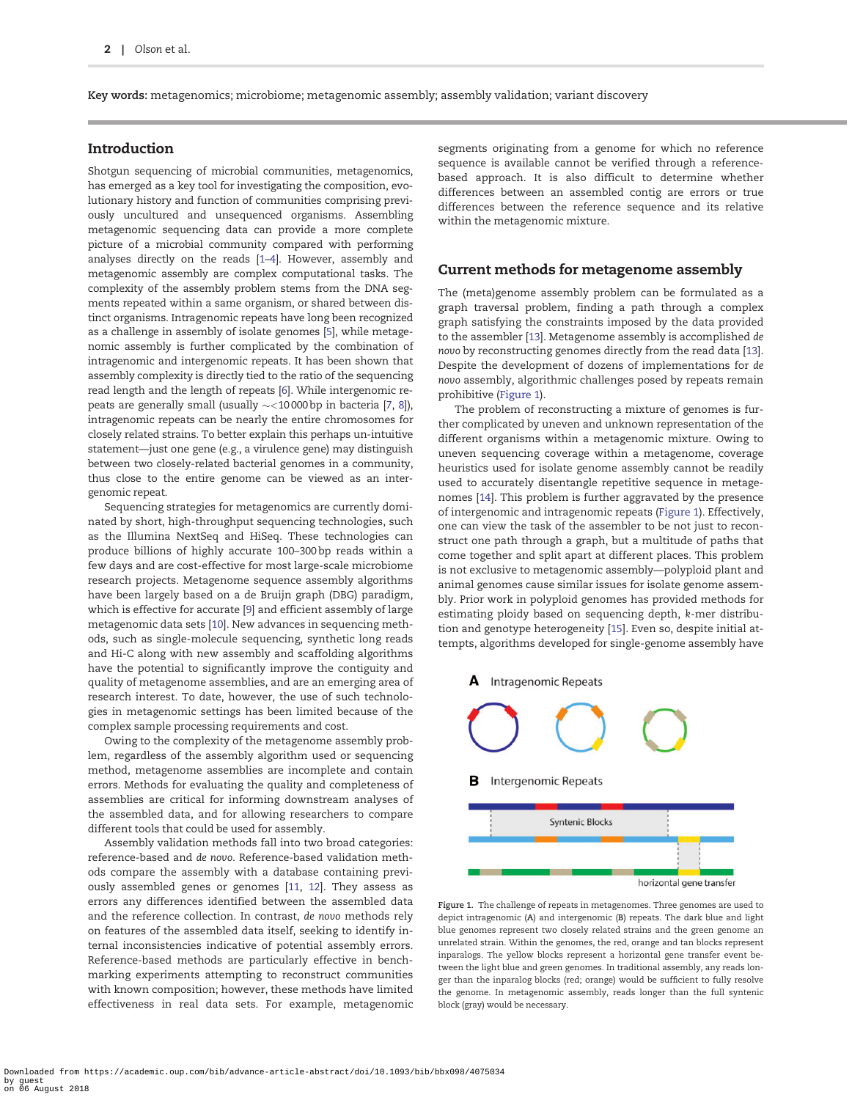Key words: metagenomics; microbiome; metagenomic assembly; assembly validation; variant discovery

## Introduction

Shotgun sequencing of microbial communities, metagenomics, has emerged as a key tool for investigating the composition, evolutionary history and function of communities comprising previously uncultured and unsequenced organisms. Assembling metagenomic sequencing data can provide a more complete picture of a microbial community compared with performing analyses directly on the reads [\[1–4](#page-8-0)]. However, assembly and metagenomic assembly are complex computational tasks. The complexity of the assembly problem stems from the DNA segments repeated within a same organism, or shared between distinct organisms. Intragenomic repeats have long been recognized as a challenge in assembly of isolate genomes [[5\]](#page-8-0), while metagenomic assembly is further complicated by the combination of intragenomic and intergenomic repeats. It has been shown that assembly complexity is directly tied to the ratio of the sequencing read length and the length of repeats [[6\]](#page-8-0). While intergenomic repeats are generally small (usually  $\sim <$ 10 000 bp in bacteria [[7,](#page-8-0) [8\]](#page-8-0)), intragenomic repeats can be nearly the entire chromosomes for closely related strains. To better explain this perhaps un-intuitive statement—just one gene (e.g., a virulence gene) may distinguish between two closely-related bacterial genomes in a community, thus close to the entire genome can be viewed as an intergenomic repeat.

Sequencing strategies for metagenomics are currently dominated by short, high-throughput sequencing technologies, such as the Illumina NextSeq and HiSeq. These technologies can produce billions of highly accurate 100–300 bp reads within a few days and are cost-effective for most large-scale microbiome research projects. Metagenome sequence assembly algorithms have been largely based on a de Bruijn graph (DBG) paradigm, which is effective for accurate [[9](#page-8-0)] and efficient assembly of large metagenomic data sets [\[10](#page-8-0)]. New advances in sequencing methods, such as single-molecule sequencing, synthetic long reads and Hi-C along with new assembly and scaffolding algorithms have the potential to significantly improve the contiguity and quality of metagenome assemblies, and are an emerging area of research interest. To date, however, the use of such technologies in metagenomic settings has been limited because of the complex sample processing requirements and cost.

Owing to the complexity of the metagenome assembly problem, regardless of the assembly algorithm used or sequencing method, metagenome assemblies are incomplete and contain errors. Methods for evaluating the quality and completeness of assemblies are critical for informing downstream analyses of the assembled data, and for allowing researchers to compare different tools that could be used for assembly.

Assembly validation methods fall into two broad categories: reference-based and de novo. Reference-based validation methods compare the assembly with a database containing previously assembled genes or genomes [\[11,](#page-8-0) [12](#page-8-0)]. They assess as errors any differences identified between the assembled data and the reference collection. In contrast, de novo methods rely on features of the assembled data itself, seeking to identify internal inconsistencies indicative of potential assembly errors. Reference-based methods are particularly effective in benchmarking experiments attempting to reconstruct communities with known composition; however, these methods have limited effectiveness in real data sets. For example, metagenomic segments originating from a genome for which no reference sequence is available cannot be verified through a referencebased approach. It is also difficult to determine whether differences between an assembled contig are errors or true differences between the reference sequence and its relative within the metagenomic mixture.

### Current methods for metagenome assembly

The (meta)genome assembly problem can be formulated as a graph traversal problem, finding a path through a complex graph satisfying the constraints imposed by the data provided to the assembler [\[13](#page-8-0)]. Metagenome assembly is accomplished de novo by reconstructing genomes directly from the read data [\[13\]](#page-8-0). Despite the development of dozens of implementations for de novo assembly, algorithmic challenges posed by repeats remain prohibitive (Figure 1).

The problem of reconstructing a mixture of genomes is further complicated by uneven and unknown representation of the different organisms within a metagenomic mixture. Owing to uneven sequencing coverage within a metagenome, coverage heuristics used for isolate genome assembly cannot be readily used to accurately disentangle repetitive sequence in metagenomes [[14](#page-8-0)]. This problem is further aggravated by the presence of intergenomic and intragenomic repeats (Figure 1). Effectively, one can view the task of the assembler to be not just to reconstruct one path through a graph, but a multitude of paths that come together and split apart at different places. This problem is not exclusive to metagenomic assembly—polyploid plant and animal genomes cause similar issues for isolate genome assembly. Prior work in polyploid genomes has provided methods for estimating ploidy based on sequencing depth, k-mer distribution and genotype heterogeneity [\[15\]](#page-8-0). Even so, despite initial attempts, algorithms developed for single-genome assembly have



horizontal gene transfer

Figure 1. The challenge of repeats in metagenomes. Three genomes are used to depict intragenomic (A) and intergenomic (B) repeats. The dark blue and light blue genomes represent two closely related strains and the green genome an unrelated strain. Within the genomes, the red, orange and tan blocks represent inparalogs. The yellow blocks represent a horizontal gene transfer event between the light blue and green genomes. In traditional assembly, any reads longer than the inparalog blocks (red; orange) would be sufficient to fully resolve the genome. In metagenomic assembly, reads longer than the full syntenic block (gray) would be necessary.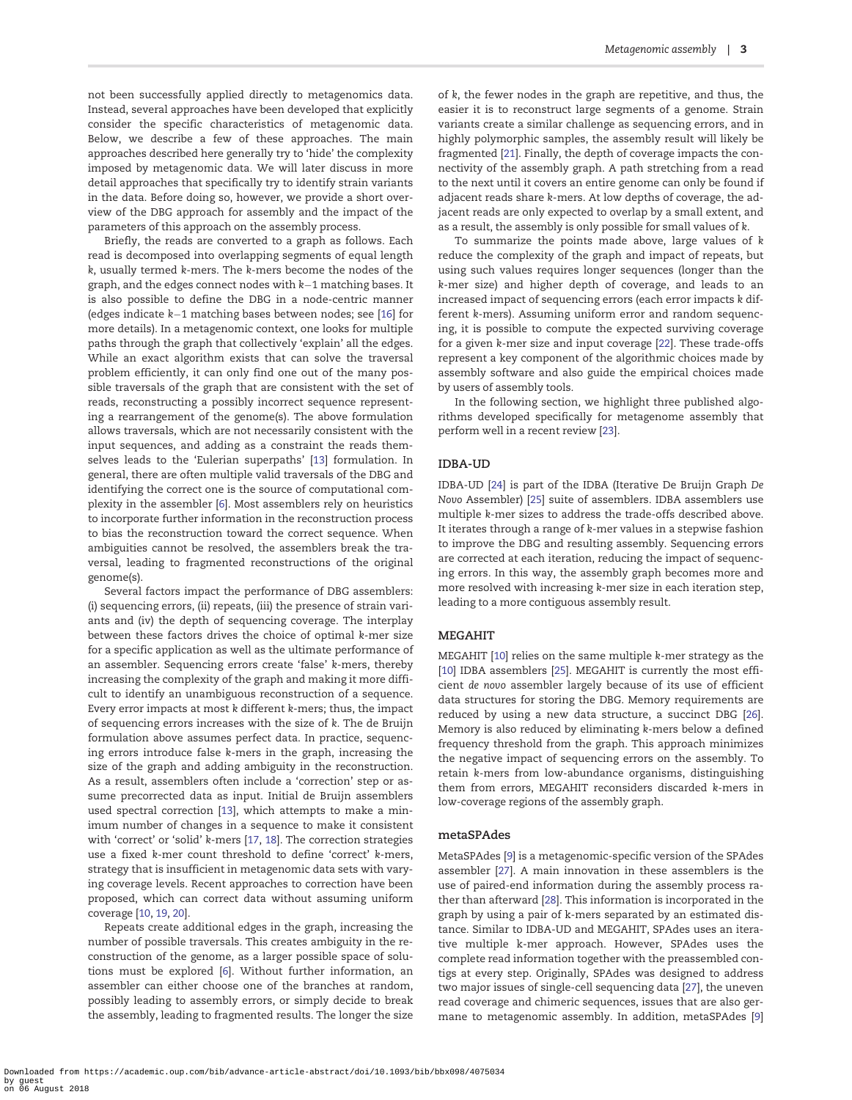not been successfully applied directly to metagenomics data. Instead, several approaches have been developed that explicitly consider the specific characteristics of metagenomic data. Below, we describe a few of these approaches. The main approaches described here generally try to 'hide' the complexity imposed by metagenomic data. We will later discuss in more detail approaches that specifically try to identify strain variants in the data. Before doing so, however, we provide a short overview of the DBG approach for assembly and the impact of the parameters of this approach on the assembly process.

Briefly, the reads are converted to a graph as follows. Each read is decomposed into overlapping segments of equal length k, usually termed k-mers. The k-mers become the nodes of the graph, and the edges connect nodes with  $k-1$  matching bases. It is also possible to define the DBG in a node-centric manner (edges indicate  $k-1$  matching bases between nodes; see [[16](#page-8-0)] for more details). In a metagenomic context, one looks for multiple paths through the graph that collectively 'explain' all the edges. While an exact algorithm exists that can solve the traversal problem efficiently, it can only find one out of the many possible traversals of the graph that are consistent with the set of reads, reconstructing a possibly incorrect sequence representing a rearrangement of the genome(s). The above formulation allows traversals, which are not necessarily consistent with the input sequences, and adding as a constraint the reads themselves leads to the 'Eulerian superpaths' [\[13\]](#page-8-0) formulation. In general, there are often multiple valid traversals of the DBG and identifying the correct one is the source of computational complexity in the assembler [\[6\]](#page-8-0). Most assemblers rely on heuristics to incorporate further information in the reconstruction process to bias the reconstruction toward the correct sequence. When ambiguities cannot be resolved, the assemblers break the traversal, leading to fragmented reconstructions of the original genome(s).

Several factors impact the performance of DBG assemblers: (i) sequencing errors, (ii) repeats, (iii) the presence of strain variants and (iv) the depth of sequencing coverage. The interplay between these factors drives the choice of optimal k-mer size for a specific application as well as the ultimate performance of an assembler. Sequencing errors create 'false' k-mers, thereby increasing the complexity of the graph and making it more difficult to identify an unambiguous reconstruction of a sequence. Every error impacts at most k different k-mers; thus, the impact of sequencing errors increases with the size of k. The de Bruijn formulation above assumes perfect data. In practice, sequencing errors introduce false k-mers in the graph, increasing the size of the graph and adding ambiguity in the reconstruction. As a result, assemblers often include a 'correction' step or assume precorrected data as input. Initial de Bruijn assemblers used spectral correction [\[13](#page-8-0)], which attempts to make a minimum number of changes in a sequence to make it consistent with 'correct' or 'solid' k-mers [\[17](#page-8-0), [18\]](#page-8-0). The correction strategies use a fixed k-mer count threshold to define 'correct' k-mers, strategy that is insufficient in metagenomic data sets with varying coverage levels. Recent approaches to correction have been proposed, which can correct data without assuming uniform coverage [[10](#page-8-0), [19](#page-8-0), [20](#page-8-0)].

Repeats create additional edges in the graph, increasing the number of possible traversals. This creates ambiguity in the reconstruction of the genome, as a larger possible space of solutions must be explored [\[6](#page-8-0)]. Without further information, an assembler can either choose one of the branches at random, possibly leading to assembly errors, or simply decide to break the assembly, leading to fragmented results. The longer the size of k, the fewer nodes in the graph are repetitive, and thus, the easier it is to reconstruct large segments of a genome. Strain variants create a similar challenge as sequencing errors, and in highly polymorphic samples, the assembly result will likely be fragmented [\[21\]](#page-8-0). Finally, the depth of coverage impacts the connectivity of the assembly graph. A path stretching from a read to the next until it covers an entire genome can only be found if adjacent reads share k-mers. At low depths of coverage, the adjacent reads are only expected to overlap by a small extent, and as a result, the assembly is only possible for small values of k.

To summarize the points made above, large values of k reduce the complexity of the graph and impact of repeats, but using such values requires longer sequences (longer than the k-mer size) and higher depth of coverage, and leads to an increased impact of sequencing errors (each error impacts k different k-mers). Assuming uniform error and random sequencing, it is possible to compute the expected surviving coverage for a given k-mer size and input coverage [[22\]](#page-8-0). These trade-offs represent a key component of the algorithmic choices made by assembly software and also guide the empirical choices made by users of assembly tools.

In the following section, we highlight three published algorithms developed specifically for metagenome assembly that perform well in a recent review [\[23\]](#page-8-0).

#### IDBA-UD

IDBA-UD [\[24](#page-8-0)] is part of the IDBA (Iterative De Bruijn Graph De Novo Assembler) [\[25\]](#page-8-0) suite of assemblers. IDBA assemblers use multiple k-mer sizes to address the trade-offs described above. It iterates through a range of k-mer values in a stepwise fashion to improve the DBG and resulting assembly. Sequencing errors are corrected at each iteration, reducing the impact of sequencing errors. In this way, the assembly graph becomes more and more resolved with increasing k-mer size in each iteration step, leading to a more contiguous assembly result.

## MEGAHIT

MEGAHIT [\[10](#page-8-0)] relies on the same multiple k-mer strategy as the [\[10\]](#page-8-0) IDBA assemblers [[25\]](#page-8-0). MEGAHIT is currently the most efficient de novo assembler largely because of its use of efficient data structures for storing the DBG. Memory requirements are reduced by using a new data structure, a succinct DBG [\[26\]](#page-8-0). Memory is also reduced by eliminating k-mers below a defined frequency threshold from the graph. This approach minimizes the negative impact of sequencing errors on the assembly. To retain k-mers from low-abundance organisms, distinguishing them from errors, MEGAHIT reconsiders discarded k-mers in low-coverage regions of the assembly graph.

#### metaSPAdes

MetaSPAdes [\[9\]](#page-8-0) is a metagenomic-specific version of the SPAdes assembler [\[27\]](#page-8-0). A main innovation in these assemblers is the use of paired-end information during the assembly process rather than afterward [[28\]](#page-8-0). This information is incorporated in the graph by using a pair of k-mers separated by an estimated distance. Similar to IDBA-UD and MEGAHIT, SPAdes uses an iterative multiple k-mer approach. However, SPAdes uses the complete read information together with the preassembled contigs at every step. Originally, SPAdes was designed to address two major issues of single-cell sequencing data [[27](#page-8-0)], the uneven read coverage and chimeric sequences, issues that are also germane to metagenomic assembly. In addition, metaSPAdes [[9\]](#page-8-0)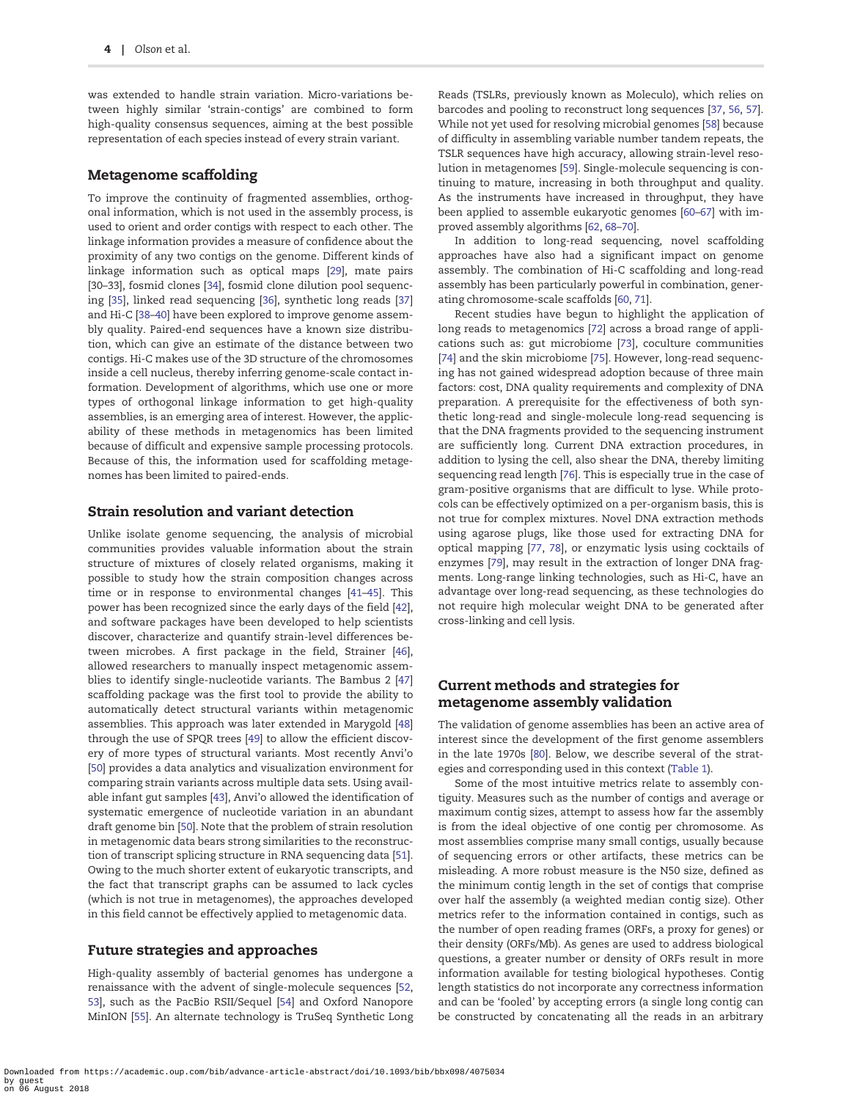was extended to handle strain variation. Micro-variations between highly similar 'strain-contigs' are combined to form high-quality consensus sequences, aiming at the best possible representation of each species instead of every strain variant.

# Metagenome scaffolding

To improve the continuity of fragmented assemblies, orthogonal information, which is not used in the assembly process, is used to orient and order contigs with respect to each other. The linkage information provides a measure of confidence about the proximity of any two contigs on the genome. Different kinds of linkage information such as optical maps [\[29\]](#page-8-0), mate pairs [30–33], fosmid clones [[34](#page-9-0)], fosmid clone dilution pool sequencing [\[35](#page-9-0)], linked read sequencing [[36](#page-9-0)], synthetic long reads [\[37\]](#page-9-0) and Hi-C [[38–40\]](#page-9-0) have been explored to improve genome assembly quality. Paired-end sequences have a known size distribution, which can give an estimate of the distance between two contigs. Hi-C makes use of the 3D structure of the chromosomes inside a cell nucleus, thereby inferring genome-scale contact information. Development of algorithms, which use one or more types of orthogonal linkage information to get high-quality assemblies, is an emerging area of interest. However, the applicability of these methods in metagenomics has been limited because of difficult and expensive sample processing protocols. Because of this, the information used for scaffolding metagenomes has been limited to paired-ends.

# Strain resolution and variant detection

Unlike isolate genome sequencing, the analysis of microbial communities provides valuable information about the strain structure of mixtures of closely related organisms, making it possible to study how the strain composition changes across time or in response to environmental changes [\[41–45](#page-9-0)]. This power has been recognized since the early days of the field [\[42\]](#page-9-0), and software packages have been developed to help scientists discover, characterize and quantify strain-level differences between microbes. A first package in the field, Strainer [\[46\]](#page-9-0), allowed researchers to manually inspect metagenomic assemblies to identify single-nucleotide variants. The Bambus 2 [[47\]](#page-9-0) scaffolding package was the first tool to provide the ability to automatically detect structural variants within metagenomic assemblies. This approach was later extended in Marygold [[48\]](#page-9-0) through the use of SPQR trees [[49\]](#page-9-0) to allow the efficient discovery of more types of structural variants. Most recently Anvi'o [\[50\]](#page-9-0) provides a data analytics and visualization environment for comparing strain variants across multiple data sets. Using available infant gut samples [\[43\]](#page-9-0), Anvi'o allowed the identification of systematic emergence of nucleotide variation in an abundant draft genome bin [\[50](#page-9-0)]. Note that the problem of strain resolution in metagenomic data bears strong similarities to the reconstruction of transcript splicing structure in RNA sequencing data [\[51\]](#page-9-0). Owing to the much shorter extent of eukaryotic transcripts, and the fact that transcript graphs can be assumed to lack cycles (which is not true in metagenomes), the approaches developed in this field cannot be effectively applied to metagenomic data.

# Future strategies and approaches

High-quality assembly of bacterial genomes has undergone a renaissance with the advent of single-molecule sequences [[52](#page-9-0), [53](#page-9-0)], such as the PacBio RSII/Sequel [\[54\]](#page-9-0) and Oxford Nanopore MinION [\[55\]](#page-9-0). An alternate technology is TruSeq Synthetic Long Reads (TSLRs, previously known as Moleculo), which relies on barcodes and pooling to reconstruct long sequences [\[37,](#page-9-0) [56](#page-9-0), [57\]](#page-9-0). While not yet used for resolving microbial genomes [\[58\]](#page-9-0) because of difficulty in assembling variable number tandem repeats, the TSLR sequences have high accuracy, allowing strain-level resolution in metagenomes [[59](#page-9-0)]. Single-molecule sequencing is continuing to mature, increasing in both throughput and quality. As the instruments have increased in throughput, they have been applied to assemble eukaryotic genomes [[60–67\]](#page-9-0) with improved assembly algorithms [[62](#page-9-0), [68–70](#page-9-0)].

In addition to long-read sequencing, novel scaffolding approaches have also had a significant impact on genome assembly. The combination of Hi-C scaffolding and long-read assembly has been particularly powerful in combination, generating chromosome-scale scaffolds [\[60](#page-9-0), [71\]](#page-9-0).

Recent studies have begun to highlight the application of long reads to metagenomics [\[72](#page-9-0)] across a broad range of applications such as: gut microbiome [\[73](#page-9-0)], coculture communities [\[74\]](#page-10-0) and the skin microbiome [[75](#page-10-0)]. However, long-read sequencing has not gained widespread adoption because of three main factors: cost, DNA quality requirements and complexity of DNA preparation. A prerequisite for the effectiveness of both synthetic long-read and single-molecule long-read sequencing is that the DNA fragments provided to the sequencing instrument are sufficiently long. Current DNA extraction procedures, in addition to lysing the cell, also shear the DNA, thereby limiting sequencing read length [[76](#page-10-0)]. This is especially true in the case of gram-positive organisms that are difficult to lyse. While protocols can be effectively optimized on a per-organism basis, this is not true for complex mixtures. Novel DNA extraction methods using agarose plugs, like those used for extracting DNA for optical mapping [[77,](#page-10-0) [78](#page-10-0)], or enzymatic lysis using cocktails of enzymes [\[79](#page-10-0)], may result in the extraction of longer DNA fragments. Long-range linking technologies, such as Hi-C, have an advantage over long-read sequencing, as these technologies do not require high molecular weight DNA to be generated after cross-linking and cell lysis.

# Current methods and strategies for metagenome assembly validation

The validation of genome assemblies has been an active area of interest since the development of the first genome assemblers in the late 1970s [[80\]](#page-10-0). Below, we describe several of the strategies and corresponding used in this context [\(Table 1\)](#page-4-0).

Some of the most intuitive metrics relate to assembly contiguity. Measures such as the number of contigs and average or maximum contig sizes, attempt to assess how far the assembly is from the ideal objective of one contig per chromosome. As most assemblies comprise many small contigs, usually because of sequencing errors or other artifacts, these metrics can be misleading. A more robust measure is the N50 size, defined as the minimum contig length in the set of contigs that comprise over half the assembly (a weighted median contig size). Other metrics refer to the information contained in contigs, such as the number of open reading frames (ORFs, a proxy for genes) or their density (ORFs/Mb). As genes are used to address biological questions, a greater number or density of ORFs result in more information available for testing biological hypotheses. Contig length statistics do not incorporate any correctness information and can be 'fooled' by accepting errors (a single long contig can be constructed by concatenating all the reads in an arbitrary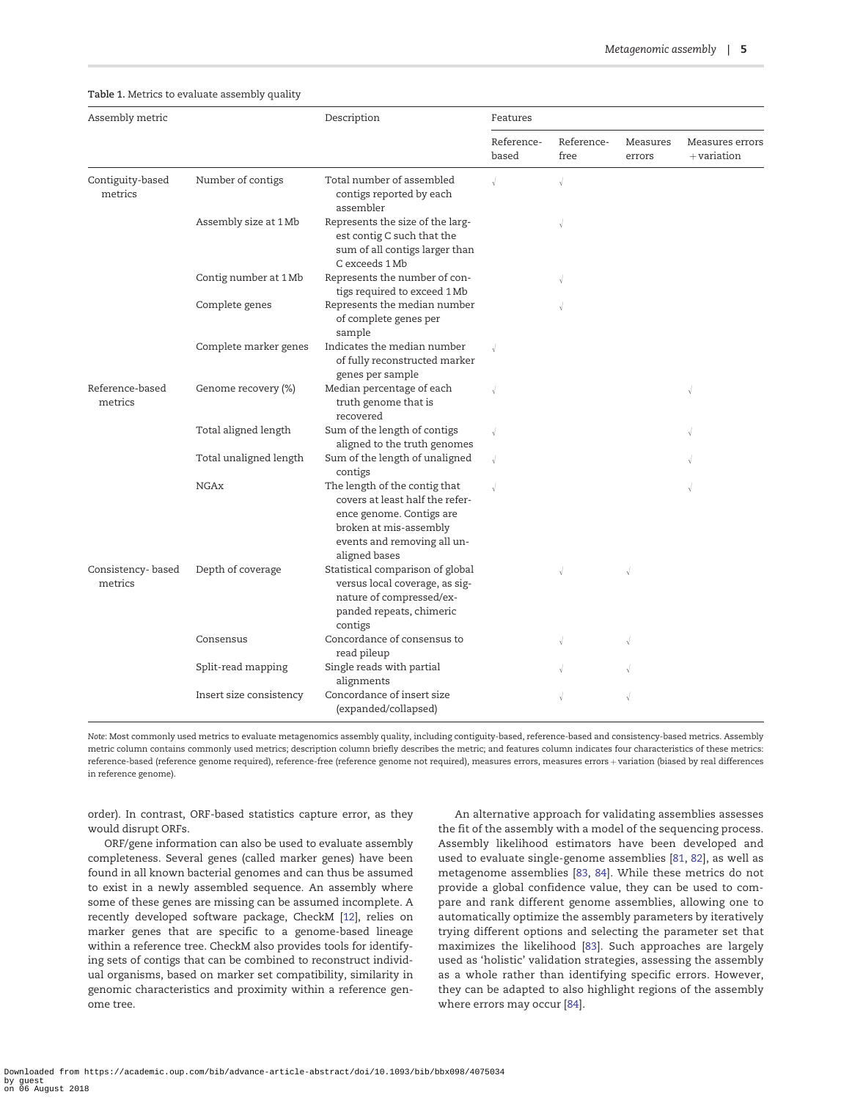#### <span id="page-4-0"></span>Table 1. Metrics to evaluate assembly quality

| Assembly metric              |                         | Description                                                                                                                                                            | Features            |                    |                    |                                  |
|------------------------------|-------------------------|------------------------------------------------------------------------------------------------------------------------------------------------------------------------|---------------------|--------------------|--------------------|----------------------------------|
|                              |                         |                                                                                                                                                                        | Reference-<br>based | Reference-<br>free | Measures<br>errors | Measures errors<br>$+$ variation |
| Contiguity-based<br>metrics  | Number of contigs       | Total number of assembled<br>contigs reported by each<br>assembler                                                                                                     |                     | $\sqrt{ }$         |                    |                                  |
|                              | Assembly size at 1 Mb   | Represents the size of the larg-<br>est contig C such that the<br>sum of all contigs larger than<br>C exceeds 1 Mb                                                     |                     | $\sqrt{ }$         |                    |                                  |
|                              | Contig number at 1 Mb   | Represents the number of con-<br>tigs required to exceed 1 Mb                                                                                                          |                     |                    |                    |                                  |
|                              | Complete genes          | Represents the median number<br>of complete genes per<br>sample                                                                                                        |                     |                    |                    |                                  |
|                              | Complete marker genes   | Indicates the median number<br>of fully reconstructed marker<br>genes per sample                                                                                       |                     |                    |                    |                                  |
| Reference-based<br>metrics   | Genome recovery (%)     | Median percentage of each<br>truth genome that is<br>recovered                                                                                                         |                     |                    |                    | $\sqrt{2}$                       |
|                              | Total aligned length    | Sum of the length of contigs<br>aligned to the truth genomes                                                                                                           | $\sqrt{}$           |                    |                    |                                  |
|                              | Total unaligned length  | Sum of the length of unaligned<br>contigs                                                                                                                              |                     |                    |                    |                                  |
|                              | <b>NGAx</b>             | The length of the contig that<br>covers at least half the refer-<br>ence genome. Contigs are<br>broken at mis-assembly<br>events and removing all un-<br>aligned bases |                     |                    |                    |                                  |
| Consistency-based<br>metrics | Depth of coverage       | Statistical comparison of global<br>versus local coverage, as sig-<br>nature of compressed/ex-<br>panded repeats, chimeric<br>contigs                                  |                     | $\sqrt{ }$         |                    |                                  |
|                              | Consensus               | Concordance of consensus to<br>read pileup                                                                                                                             |                     | $\sqrt{ }$         |                    |                                  |
|                              | Split-read mapping      | Single reads with partial<br>alignments                                                                                                                                |                     |                    |                    |                                  |
|                              | Insert size consistency | Concordance of insert size<br>(expanded/collapsed)                                                                                                                     |                     |                    |                    |                                  |

Note: Most commonly used metrics to evaluate metagenomics assembly quality, including contiguity-based, reference-based and consistency-based metrics. Assembly metric column contains commonly used metrics; description column briefly describes the metric; and features column indicates four characteristics of these metrics: reference-based (reference genome required), reference-free (reference genome not required), measures errors, measures errors + variation (biased by real differences in reference genome).

order). In contrast, ORF-based statistics capture error, as they would disrupt ORFs.

ORF/gene information can also be used to evaluate assembly completeness. Several genes (called marker genes) have been found in all known bacterial genomes and can thus be assumed to exist in a newly assembled sequence. An assembly where some of these genes are missing can be assumed incomplete. A recently developed software package, CheckM [[12](#page-8-0)], relies on marker genes that are specific to a genome-based lineage within a reference tree. CheckM also provides tools for identifying sets of contigs that can be combined to reconstruct individual organisms, based on marker set compatibility, similarity in genomic characteristics and proximity within a reference genome tree.

An alternative approach for validating assemblies assesses the fit of the assembly with a model of the sequencing process. Assembly likelihood estimators have been developed and used to evaluate single-genome assemblies [[81](#page-10-0), [82](#page-10-0)], as well as metagenome assemblies [\[83,](#page-10-0) [84](#page-10-0)]. While these metrics do not provide a global confidence value, they can be used to compare and rank different genome assemblies, allowing one to automatically optimize the assembly parameters by iteratively trying different options and selecting the parameter set that maximizes the likelihood [[83](#page-10-0)]. Such approaches are largely used as 'holistic' validation strategies, assessing the assembly as a whole rather than identifying specific errors. However, they can be adapted to also highlight regions of the assembly where errors may occur [[84](#page-10-0)].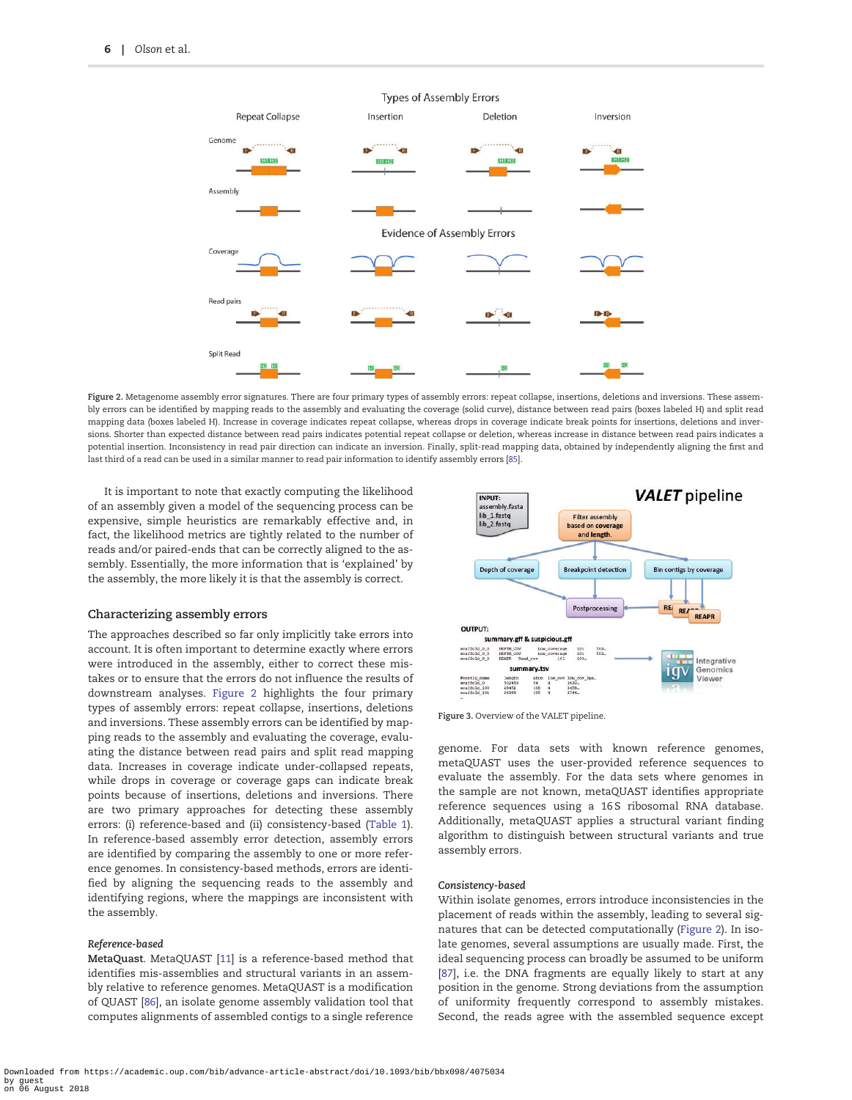<span id="page-5-0"></span>

Figure 2. Metagenome assembly error signatures. There are four primary types of assembly errors: repeat collapse, insertions, deletions and inversions. These assembly errors can be identified by mapping reads to the assembly and evaluating the coverage (solid curve), distance between read pairs (boxes labeled H) and split read mapping data (boxes labeled H). Increase in coverage indicates repeat collapse, whereas drops in coverage indicate break points for insertions, deletions and inversions. Shorter than expected distance between read pairs indicates potential repeat collapse or deletion, whereas increase in distance between read pairs indicates a potential insertion. Inconsistency in read pair direction can indicate an inversion. Finally, split-read mapping data, obtained by independently aligning the first and last third of a read can be used in a similar manner to read pair information to identify assembly errors [[85](#page-10-0)].

It is important to note that exactly computing the likelihood of an assembly given a model of the sequencing process can be expensive, simple heuristics are remarkably effective and, in fact, the likelihood metrics are tightly related to the number of reads and/or paired-ends that can be correctly aligned to the assembly. Essentially, the more information that is 'explained' by the assembly, the more likely it is that the assembly is correct.

#### Characterizing assembly errors

The approaches described so far only implicitly take errors into account. It is often important to determine exactly where errors were introduced in the assembly, either to correct these mistakes or to ensure that the errors do not influence the results of downstream analyses. Figure 2 highlights the four primary types of assembly errors: repeat collapse, insertions, deletions and inversions. These assembly errors can be identified by mapping reads to the assembly and evaluating the coverage, evaluating the distance between read pairs and split read mapping data. Increases in coverage indicate under-collapsed repeats, while drops in coverage or coverage gaps can indicate break points because of insertions, deletions and inversions. There are two primary approaches for detecting these assembly errors: (i) reference-based and (ii) consistency-based [\(Table 1\)](#page-4-0). In reference-based assembly error detection, assembly errors are identified by comparing the assembly to one or more reference genomes. In consistency-based methods, errors are identified by aligning the sequencing reads to the assembly and identifying regions, where the mappings are inconsistent with the assembly.

#### Reference-based

MetaQuast. MetaQUAST [\[11](#page-8-0)] is a reference-based method that identifies mis-assemblies and structural variants in an assembly relative to reference genomes. MetaQUAST is a modification of QUAST [[86](#page-10-0)], an isolate genome assembly validation tool that computes alignments of assembled contigs to a single reference



Figure 3. Overview of the VALET pipeline.

genome. For data sets with known reference genomes, metaQUAST uses the user-provided reference sequences to evaluate the assembly. For the data sets where genomes in the sample are not known, metaQUAST identifies appropriate reference sequences using a 16S ribosomal RNA database. Additionally, metaQUAST applies a structural variant finding algorithm to distinguish between structural variants and true assembly errors.

#### Consistency-based

Within isolate genomes, errors introduce inconsistencies in the placement of reads within the assembly, leading to several signatures that can be detected computationally (Figure 2). In isolate genomes, several assumptions are usually made. First, the ideal sequencing process can broadly be assumed to be uniform [\[87\]](#page-10-0), i.e. the DNA fragments are equally likely to start at any position in the genome. Strong deviations from the assumption of uniformity frequently correspond to assembly mistakes. Second, the reads agree with the assembled sequence except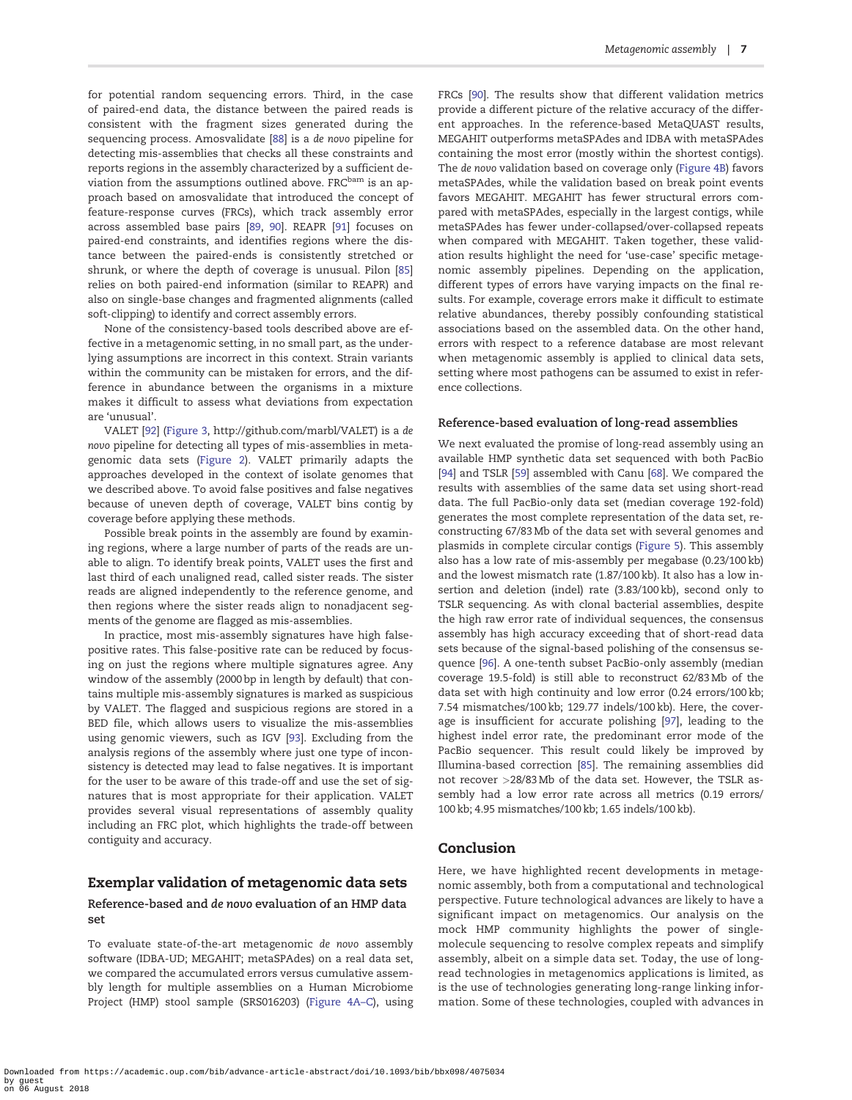for potential random sequencing errors. Third, in the case of paired-end data, the distance between the paired reads is consistent with the fragment sizes generated during the sequencing process. Amosvalidate [\[88](#page-10-0)] is a de novo pipeline for detecting mis-assemblies that checks all these constraints and reports regions in the assembly characterized by a sufficient deviation from the assumptions outlined above. FRC<sup>bam</sup> is an approach based on amosvalidate that introduced the concept of feature-response curves (FRCs), which track assembly error across assembled base pairs [\[89,](#page-10-0) [90](#page-10-0)]. REAPR [\[91](#page-10-0)] focuses on paired-end constraints, and identifies regions where the distance between the paired-ends is consistently stretched or shrunk, or where the depth of coverage is unusual. Pilon [[85\]](#page-10-0) relies on both paired-end information (similar to REAPR) and also on single-base changes and fragmented alignments (called soft-clipping) to identify and correct assembly errors.

None of the consistency-based tools described above are effective in a metagenomic setting, in no small part, as the underlying assumptions are incorrect in this context. Strain variants within the community can be mistaken for errors, and the difference in abundance between the organisms in a mixture makes it difficult to assess what deviations from expectation are 'unusual'.

VALET [\[92\]](#page-10-0) ([Figure 3](#page-5-0), [http://github.com/marbl/VALET\)](http://github.com/marbl/VALET) is a de novo pipeline for detecting all types of mis-assemblies in metagenomic data sets ([Figure 2](#page-5-0)). VALET primarily adapts the approaches developed in the context of isolate genomes that we described above. To avoid false positives and false negatives because of uneven depth of coverage, VALET bins contig by coverage before applying these methods.

Possible break points in the assembly are found by examining regions, where a large number of parts of the reads are unable to align. To identify break points, VALET uses the first and last third of each unaligned read, called sister reads. The sister reads are aligned independently to the reference genome, and then regions where the sister reads align to nonadjacent segments of the genome are flagged as mis-assemblies.

In practice, most mis-assembly signatures have high falsepositive rates. This false-positive rate can be reduced by focusing on just the regions where multiple signatures agree. Any window of the assembly (2000 bp in length by default) that contains multiple mis-assembly signatures is marked as suspicious by VALET. The flagged and suspicious regions are stored in a BED file, which allows users to visualize the mis-assemblies using genomic viewers, such as IGV [[93](#page-10-0)]. Excluding from the analysis regions of the assembly where just one type of inconsistency is detected may lead to false negatives. It is important for the user to be aware of this trade-off and use the set of signatures that is most appropriate for their application. VALET provides several visual representations of assembly quality including an FRC plot, which highlights the trade-off between contiguity and accuracy.

## Exemplar validation of metagenomic data sets

## Reference-based and de novo evaluation of an HMP data set

To evaluate state-of-the-art metagenomic de novo assembly software (IDBA-UD; MEGAHIT; metaSPAdes) on a real data set, we compared the accumulated errors versus cumulative assembly length for multiple assemblies on a Human Microbiome Project (HMP) stool sample (SRS016203) [\(Figure 4A–C](#page-7-0)), using FRCs [\[90](#page-10-0)]. The results show that different validation metrics provide a different picture of the relative accuracy of the different approaches. In the reference-based MetaQUAST results, MEGAHIT outperforms metaSPAdes and IDBA with metaSPAdes containing the most error (mostly within the shortest contigs). The de novo validation based on coverage only [\(Figure 4B\)](#page-7-0) favors metaSPAdes, while the validation based on break point events favors MEGAHIT. MEGAHIT has fewer structural errors compared with metaSPAdes, especially in the largest contigs, while metaSPAdes has fewer under-collapsed/over-collapsed repeats when compared with MEGAHIT. Taken together, these validation results highlight the need for 'use-case' specific metagenomic assembly pipelines. Depending on the application, different types of errors have varying impacts on the final results. For example, coverage errors make it difficult to estimate relative abundances, thereby possibly confounding statistical associations based on the assembled data. On the other hand, errors with respect to a reference database are most relevant when metagenomic assembly is applied to clinical data sets, setting where most pathogens can be assumed to exist in reference collections.

#### Reference-based evaluation of long-read assemblies

We next evaluated the promise of long-read assembly using an available HMP synthetic data set sequenced with both PacBio [\[94\]](#page-10-0) and TSLR [\[59\]](#page-9-0) assembled with Canu [\[68](#page-9-0)]. We compared the results with assemblies of the same data set using short-read data. The full PacBio-only data set (median coverage 192-fold) generates the most complete representation of the data set, reconstructing 67/83 Mb of the data set with several genomes and plasmids in complete circular contigs [\(Figure 5\)](#page-7-0). This assembly also has a low rate of mis-assembly per megabase (0.23/100 kb) and the lowest mismatch rate (1.87/100 kb). It also has a low insertion and deletion (indel) rate (3.83/100 kb), second only to TSLR sequencing. As with clonal bacterial assemblies, despite the high raw error rate of individual sequences, the consensus assembly has high accuracy exceeding that of short-read data sets because of the signal-based polishing of the consensus sequence [[96](#page-10-0)]. A one-tenth subset PacBio-only assembly (median coverage 19.5-fold) is still able to reconstruct 62/83 Mb of the data set with high continuity and low error (0.24 errors/100 kb; 7.54 mismatches/100 kb; 129.77 indels/100 kb). Here, the coverage is insufficient for accurate polishing [[97](#page-10-0)], leading to the highest indel error rate, the predominant error mode of the PacBio sequencer. This result could likely be improved by Illumina-based correction [[85\]](#page-10-0). The remaining assemblies did not recover >28/83 Mb of the data set. However, the TSLR assembly had a low error rate across all metrics (0.19 errors/ 100 kb; 4.95 mismatches/100 kb; 1.65 indels/100 kb).

## Conclusion

Here, we have highlighted recent developments in metagenomic assembly, both from a computational and technological perspective. Future technological advances are likely to have a significant impact on metagenomics. Our analysis on the mock HMP community highlights the power of singlemolecule sequencing to resolve complex repeats and simplify assembly, albeit on a simple data set. Today, the use of longread technologies in metagenomics applications is limited, as is the use of technologies generating long-range linking information. Some of these technologies, coupled with advances in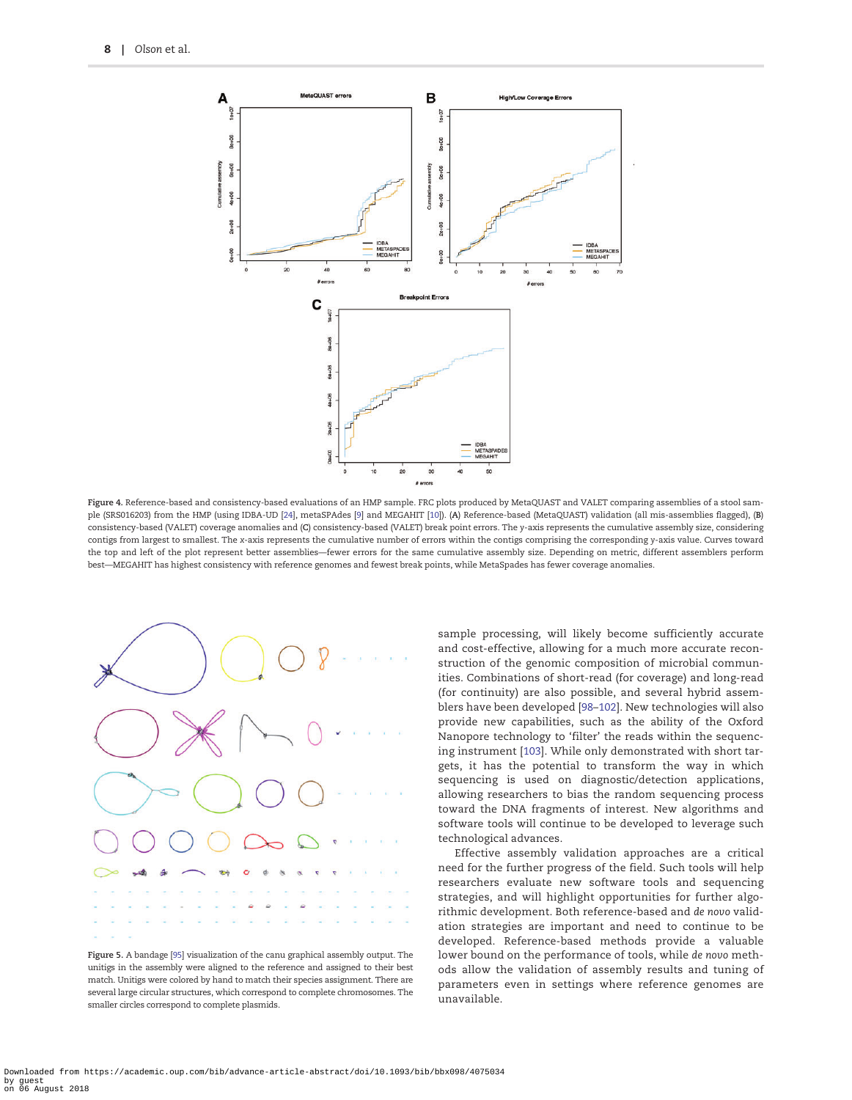<span id="page-7-0"></span>

Figure 4. Reference-based and consistency-based evaluations of an HMP sample. FRC plots produced by MetaQUAST and VALET comparing assemblies of a stool sample (SRS016203) from the HMP (using IDBA-UD [[24\]](#page-8-0), metaSPAdes [\[9\]](#page-8-0) and MEGAHIT [\[10\]](#page-8-0)). (A) Reference-based (MetaQUAST) validation (all mis-assemblies flagged), (B) consistency-based (VALET) coverage anomalies and (C) consistency-based (VALET) break point errors. The y-axis represents the cumulative assembly size, considering contigs from largest to smallest. The x-axis represents the cumulative number of errors within the contigs comprising the corresponding y-axis value. Curves toward the top and left of the plot represent better assemblies—fewer errors for the same cumulative assembly size. Depending on metric, different assemblers perform best—MEGAHIT has highest consistency with reference genomes and fewest break points, while MetaSpades has fewer coverage anomalies.



Figure 5. A bandage [\[95\]](#page-10-0) visualization of the canu graphical assembly output. The unitigs in the assembly were aligned to the reference and assigned to their best match. Unitigs were colored by hand to match their species assignment. There are several large circular structures, which correspond to complete chromosomes. The smaller circles correspond to complete plasmids.

sample processing, will likely become sufficiently accurate and cost-effective, allowing for a much more accurate reconstruction of the genomic composition of microbial communities. Combinations of short-read (for coverage) and long-read (for continuity) are also possible, and several hybrid assemblers have been developed [\[98–102](#page-10-0)]. New technologies will also provide new capabilities, such as the ability of the Oxford Nanopore technology to 'filter' the reads within the sequencing instrument [\[103](#page-10-0)]. While only demonstrated with short targets, it has the potential to transform the way in which sequencing is used on diagnostic/detection applications, allowing researchers to bias the random sequencing process toward the DNA fragments of interest. New algorithms and software tools will continue to be developed to leverage such technological advances.

Effective assembly validation approaches are a critical need for the further progress of the field. Such tools will help researchers evaluate new software tools and sequencing strategies, and will highlight opportunities for further algorithmic development. Both reference-based and de novo validation strategies are important and need to continue to be developed. Reference-based methods provide a valuable lower bound on the performance of tools, while de novo methods allow the validation of assembly results and tuning of parameters even in settings where reference genomes are unavailable.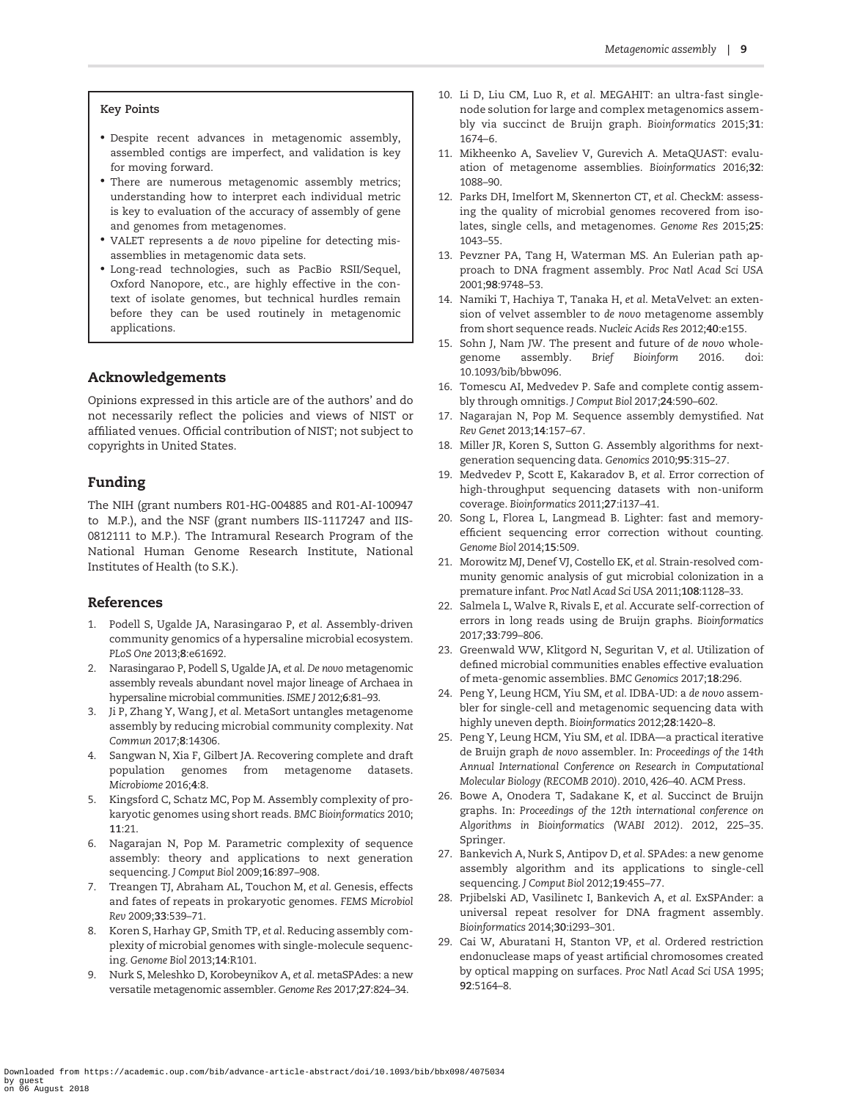#### <span id="page-8-0"></span>Key Points

- Despite recent advances in metagenomic assembly, assembled contigs are imperfect, and validation is key for moving forward.
- There are numerous metagenomic assembly metrics; understanding how to interpret each individual metric is key to evaluation of the accuracy of assembly of gene and genomes from metagenomes.
- VALET represents a de novo pipeline for detecting misassemblies in metagenomic data sets.
- Long-read technologies, such as PacBio RSII/Sequel, Oxford Nanopore, etc., are highly effective in the context of isolate genomes, but technical hurdles remain before they can be used routinely in metagenomic applications.

# Acknowledgements

Opinions expressed in this article are of the authors' and do not necessarily reflect the policies and views of NIST or affiliated venues. Official contribution of NIST; not subject to copyrights in United States.

# Funding

The NIH (grant numbers R01-HG-004885 and R01-AI-100947 to M.P.), and the NSF (grant numbers IIS-1117247 and IIS-0812111 to M.P.). The Intramural Research Program of the National Human Genome Research Institute, National Institutes of Health (to S.K.).

## References

- 1. Podell S, Ugalde JA, Narasingarao P, et al. Assembly-driven community genomics of a hypersaline microbial ecosystem. PLoS One 2013;8:e61692.
- 2. Narasingarao P, Podell S, Ugalde JA, et al. De novo metagenomic assembly reveals abundant novel major lineage of Archaea in hypersaline microbial communities. ISME J 2012;6:81–93.
- 3. Ji P, Zhang Y, Wang J, et al. MetaSort untangles metagenome assembly by reducing microbial community complexity. Nat Commun 2017;8:14306.
- 4. Sangwan N, Xia F, Gilbert JA. Recovering complete and draft population genomes from metagenome datasets. Microbiome 2016;4:8.
- 5. Kingsford C, Schatz MC, Pop M. Assembly complexity of prokaryotic genomes using short reads. BMC Bioinformatics 2010; 11:21.
- 6. Nagarajan N, Pop M. Parametric complexity of sequence assembly: theory and applications to next generation sequencing. J Comput Biol 2009;16:897–908.
- 7. Treangen TJ, Abraham AL, Touchon M, et al. Genesis, effects and fates of repeats in prokaryotic genomes. FEMS Microbiol Rev 2009;33:539–71.
- 8. Koren S, Harhay GP, Smith TP, et al. Reducing assembly complexity of microbial genomes with single-molecule sequencing. Genome Biol 2013;14:R101.
- 9. Nurk S, Meleshko D, Korobeynikov A, et al. metaSPAdes: a new versatile metagenomic assembler. Genome Res 2017;27:824–34.
- 10. Li D, Liu CM, Luo R, et al. MEGAHIT: an ultra-fast singlenode solution for large and complex metagenomics assembly via succinct de Bruijn graph. Bioinformatics 2015;31: 1674–6.
- 11. Mikheenko A, Saveliev V, Gurevich A. MetaQUAST: evaluation of metagenome assemblies. Bioinformatics 2016;32: 1088–90.
- 12. Parks DH, Imelfort M, Skennerton CT, et al. CheckM: assessing the quality of microbial genomes recovered from isolates, single cells, and metagenomes. Genome Res 2015;25: 1043–55.
- 13. Pevzner PA, Tang H, Waterman MS. An Eulerian path approach to DNA fragment assembly. Proc Natl Acad Sci USA 2001;98:9748–53.
- 14. Namiki T, Hachiya T, Tanaka H, et al. MetaVelvet: an extension of velvet assembler to de novo metagenome assembly from short sequence reads. Nucleic Acids Res 2012;40:e155.
- 15. Sohn J, Nam JW. The present and future of de novo wholegenome assembly. Brief Bioinform 2016. doi: 10.1093/bib/bbw096.
- 16. Tomescu AI, Medvedev P. Safe and complete contig assembly through omnitigs. J Comput Biol 2017;24:590–602.
- 17. Nagarajan N, Pop M. Sequence assembly demystified. Nat Rev Genet 2013;14:157–67.
- 18. Miller JR, Koren S, Sutton G. Assembly algorithms for nextgeneration sequencing data. Genomics 2010;95:315–27.
- 19. Medvedev P, Scott E, Kakaradov B, et al. Error correction of high-throughput sequencing datasets with non-uniform coverage. Bioinformatics 2011;27:i137–41.
- 20. Song L, Florea L, Langmead B. Lighter: fast and memoryefficient sequencing error correction without counting. Genome Biol 2014;15:509.
- 21. Morowitz MJ, Denef VJ, Costello EK, et al. Strain-resolved community genomic analysis of gut microbial colonization in a premature infant. Proc Natl Acad Sci USA 2011;108:1128–33.
- 22. Salmela L, Walve R, Rivals E, et al. Accurate self-correction of errors in long reads using de Bruijn graphs. Bioinformatics 2017;33:799–806.
- 23. Greenwald WW, Klitgord N, Seguritan V, et al. Utilization of defined microbial communities enables effective evaluation of meta-genomic assemblies. BMC Genomics 2017;18:296.
- 24. Peng Y, Leung HCM, Yiu SM, et al. IDBA-UD: a de novo assembler for single-cell and metagenomic sequencing data with highly uneven depth. Bioinformatics 2012;28:1420–8.
- 25. Peng Y, Leung HCM, Yiu SM, et al. IDBA—a practical iterative de Bruijn graph de novo assembler. In: Proceedings of the 14th Annual International Conference on Research in Computational Molecular Biology (RECOMB 2010). 2010, 426–40. ACM Press.
- 26. Bowe A, Onodera T, Sadakane K, et al. Succinct de Bruijn graphs. In: Proceedings of the 12th international conference on Algorithms in Bioinformatics (WABI 2012). 2012, 225–35. Springer.
- 27. Bankevich A, Nurk S, Antipov D, et al. SPAdes: a new genome assembly algorithm and its applications to single-cell sequencing. J Comput Biol 2012;19:455–77.
- 28. Prjibelski AD, Vasilinetc I, Bankevich A, et al. ExSPAnder: a universal repeat resolver for DNA fragment assembly. Bioinformatics 2014;30:i293–301.
- 29. Cai W, Aburatani H, Stanton VP, et al. Ordered restriction endonuclease maps of yeast artificial chromosomes created by optical mapping on surfaces. Proc Natl Acad Sci USA 1995; 92:5164–8.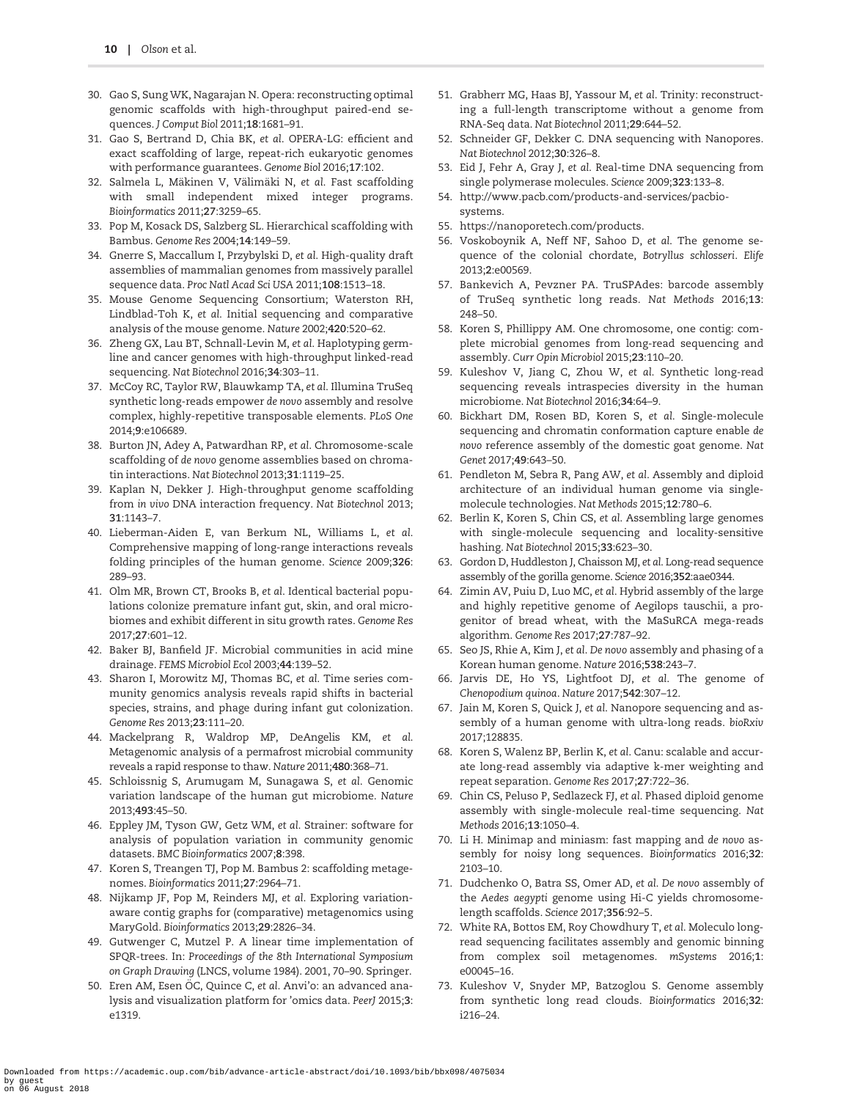- <span id="page-9-0"></span>30. Gao S, Sung WK, Nagarajan N. Opera: reconstructing optimal genomic scaffolds with high-throughput paired-end sequences. J Comput Biol 2011;18:1681–91.
- 31. Gao S, Bertrand D, Chia BK, et al. OPERA-LG: efficient and exact scaffolding of large, repeat-rich eukaryotic genomes with performance guarantees. Genome Biol 2016;17:102.
- 32. Salmela L, Mäkinen V, Välimäki N, et al. Fast scaffolding with small independent mixed integer programs. Bioinformatics 2011;27:3259–65.
- 33. Pop M, Kosack DS, Salzberg SL. Hierarchical scaffolding with Bambus. Genome Res 2004;14:149–59.
- 34. Gnerre S, Maccallum I, Przybylski D, et al. High-quality draft assemblies of mammalian genomes from massively parallel sequence data. Proc Natl Acad Sci USA 2011;108:1513–18.
- 35. Mouse Genome Sequencing Consortium; Waterston RH, Lindblad-Toh K, et al. Initial sequencing and comparative analysis of the mouse genome. Nature 2002;420:520–62.
- 36. Zheng GX, Lau BT, Schnall-Levin M, et al. Haplotyping germline and cancer genomes with high-throughput linked-read sequencing. Nat Biotechnol 2016;34:303–11.
- 37. McCoy RC, Taylor RW, Blauwkamp TA, et al. Illumina TruSeq synthetic long-reads empower de novo assembly and resolve complex, highly-repetitive transposable elements. PLoS One 2014;9:e106689.
- 38. Burton JN, Adey A, Patwardhan RP, et al. Chromosome-scale scaffolding of de novo genome assemblies based on chromatin interactions. Nat Biotechnol 2013;31:1119–25.
- 39. Kaplan N, Dekker J. High-throughput genome scaffolding from in vivo DNA interaction frequency. Nat Biotechnol 2013; 31:1143–7.
- 40. Lieberman-Aiden E, van Berkum NL, Williams L, et al. Comprehensive mapping of long-range interactions reveals folding principles of the human genome. Science 2009;326: 289–93.
- 41. Olm MR, Brown CT, Brooks B, et al. Identical bacterial populations colonize premature infant gut, skin, and oral microbiomes and exhibit different in situ growth rates. Genome Res 2017;27:601–12.
- 42. Baker BJ, Banfield JF. Microbial communities in acid mine drainage. FEMS Microbiol Ecol 2003;44:139–52.
- 43. Sharon I, Morowitz MJ, Thomas BC, et al. Time series community genomics analysis reveals rapid shifts in bacterial species, strains, and phage during infant gut colonization. Genome Res 2013;23:111–20.
- 44. Mackelprang R, Waldrop MP, DeAngelis KM, et al. Metagenomic analysis of a permafrost microbial community reveals a rapid response to thaw. Nature 2011;480:368–71.
- 45. Schloissnig S, Arumugam M, Sunagawa S, et al. Genomic variation landscape of the human gut microbiome. Nature 2013;493:45–50.
- 46. Eppley JM, Tyson GW, Getz WM, et al. Strainer: software for analysis of population variation in community genomic datasets. BMC Bioinformatics 2007;8:398.
- 47. Koren S, Treangen TJ, Pop M. Bambus 2: scaffolding metagenomes. Bioinformatics 2011;27:2964–71.
- 48. Nijkamp JF, Pop M, Reinders MJ, et al. Exploring variationaware contig graphs for (comparative) metagenomics using MaryGold. Bioinformatics 2013;29:2826–34.
- 49. Gutwenger C, Mutzel P. A linear time implementation of SPQR-trees. In: Proceedings of the 8th International Symposium on Graph Drawing (LNCS, volume 1984). 2001, 70–90. Springer.
- 50. Eren AM, Esen ÖC, Quince C, et al. Anvi'o: an advanced analysis and visualization platform for 'omics data. PeerJ 2015;3: e1319.
- 51. Grabherr MG, Haas BJ, Yassour M, et al. Trinity: reconstructing a full-length transcriptome without a genome from RNA-Seq data. Nat Biotechnol 2011;29:644–52.
- 52. Schneider GF, Dekker C. DNA sequencing with Nanopores. Nat Biotechnol 2012;30:326–8.
- 53. Eid J, Fehr A, Gray J, et al. Real-time DNA sequencing from single polymerase molecules. Science 2009;323:133–8.
- 54. [http://www.pacb.com/products-and-services/pacbio](http://www.pacb.com/products-and-services/pacbio-systems)[systems.](http://www.pacb.com/products-and-services/pacbio-systems)
- 55.<https://nanoporetech.com/products>.
- 56. Voskoboynik A, Neff NF, Sahoo D, et al. The genome sequence of the colonial chordate, Botryllus schlosseri. Elife 2013;2:e00569.
- 57. Bankevich A, Pevzner PA. TruSPAdes: barcode assembly of TruSeq synthetic long reads. Nat Methods 2016;13: 248–50.
- 58. Koren S, Phillippy AM. One chromosome, one contig: complete microbial genomes from long-read sequencing and assembly. Curr Opin Microbiol 2015;23:110–20.
- 59. Kuleshov V, Jiang C, Zhou W, et al. Synthetic long-read sequencing reveals intraspecies diversity in the human microbiome. Nat Biotechnol 2016;34:64–9.
- 60. Bickhart DM, Rosen BD, Koren S, et al. Single-molecule sequencing and chromatin conformation capture enable de novo reference assembly of the domestic goat genome. Nat Genet 2017;49:643–50.
- 61. Pendleton M, Sebra R, Pang AW, et al. Assembly and diploid architecture of an individual human genome via singlemolecule technologies. Nat Methods 2015;12:780–6.
- 62. Berlin K, Koren S, Chin CS, et al. Assembling large genomes with single-molecule sequencing and locality-sensitive hashing. Nat Biotechnol 2015;33:623–30.
- 63. Gordon D, Huddleston J, Chaisson MJ, et al. Long-read sequence assembly of the gorilla genome. Science 2016;352:aae0344.
- 64. Zimin AV, Puiu D, Luo MC, et al. Hybrid assembly of the large and highly repetitive genome of Aegilops tauschii, a progenitor of bread wheat, with the MaSuRCA mega-reads algorithm. Genome Res 2017;27:787–92.
- 65. Seo JS, Rhie A, Kim J, et al. De novo assembly and phasing of a Korean human genome. Nature 2016;538:243–7.
- 66. Jarvis DE, Ho YS, Lightfoot DJ, et al. The genome of Chenopodium quinoa. Nature 2017;542:307–12.
- 67. Jain M, Koren S, Quick J, et al. Nanopore sequencing and assembly of a human genome with ultra-long reads. bioRxiv 2017;128835.
- 68. Koren S, Walenz BP, Berlin K, et al. Canu: scalable and accurate long-read assembly via adaptive k-mer weighting and repeat separation. Genome Res 2017;27:722–36.
- 69. Chin CS, Peluso P, Sedlazeck FJ, et al. Phased diploid genome assembly with single-molecule real-time sequencing. Nat Methods 2016;13:1050–4.
- 70. Li H. Minimap and miniasm: fast mapping and de novo assembly for noisy long sequences. Bioinformatics 2016;32: 2103–10.
- 71. Dudchenko O, Batra SS, Omer AD, et al. De novo assembly of the Aedes aegypti genome using Hi-C yields chromosomelength scaffolds. Science 2017;356:92–5.
- 72. White RA, Bottos EM, Roy Chowdhury T, et al. Moleculo longread sequencing facilitates assembly and genomic binning from complex soil metagenomes. mSystems 2016;1: e00045–16.
- 73. Kuleshov V, Snyder MP, Batzoglou S. Genome assembly from synthetic long read clouds. Bioinformatics 2016;32: i216–24.